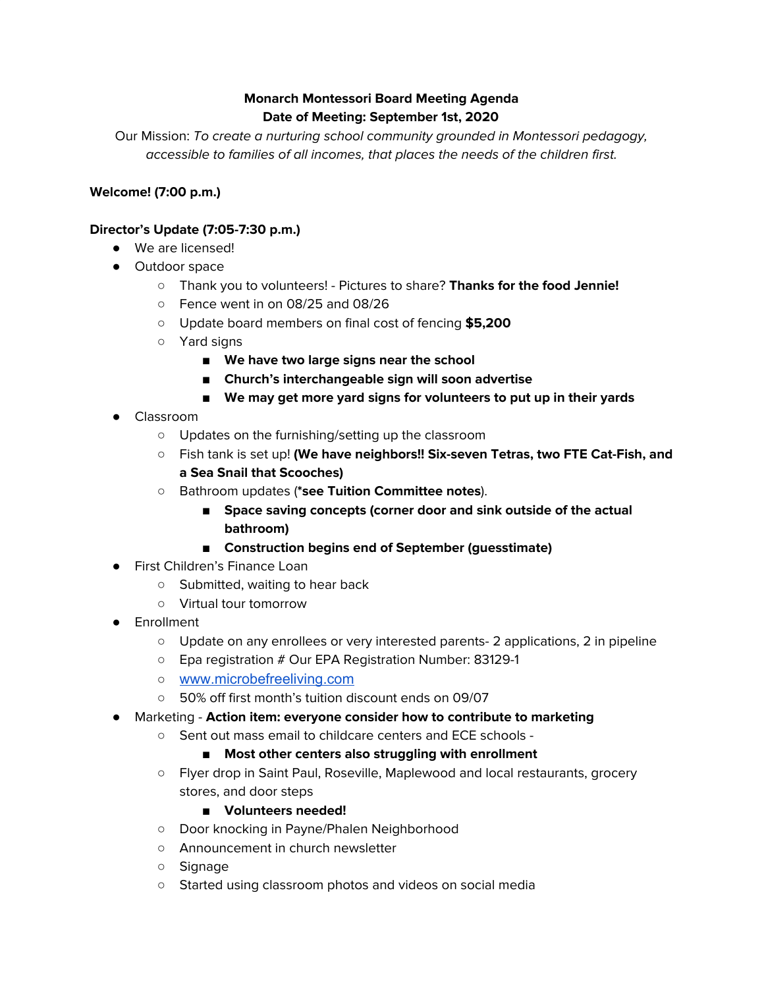# **Monarch Montessori Board Meeting Agenda Date of Meeting: September 1st, 2020**

Our Mission: To create a nurturing school community grounded in Montessori pedagogy, accessible to families of all incomes, that places the needs of the children first.

# **Welcome! (7:00 p.m.)**

# **Director's Update (7:05-7:30 p.m.)**

- We are licensed!
- Outdoor space
	- Thank you to volunteers! Pictures to share? **Thanks for the food Jennie!**
	- Fence went in on 08/25 and 08/26
	- Update board members on final cost of fencing **\$5,200**
	- Yard signs
		- **■ We have two large signs near the school**
		- **Church's interchangeable sign will soon advertise**
		- **■ We may get more yard signs for volunteers to put up in their yards**
- Classroom
	- Updates on the furnishing/setting up the classroom
	- Fish tank is set up! **(We have neighbors!! Six-seven Tetras, two FTE Cat-Fish, and a Sea Snail that Scooches)**
	- **○** Bathroom updates (**\*see Tuition Committee notes**).
		- **■ Space saving concepts (corner door and sink outside of the actual bathroom)**
		- **■ Construction begins end of September (guesstimate)**
- First Children's Finance Loan
	- Submitted, waiting to hear back
	- Virtual tour tomorrow
- Enrollment
	- Update on any enrollees or very interested parents- 2 applications, 2 in pipeline
	- Epa registration # Our EPA Registration Number: 83129-1
	- [www.microbefreeliving.com](http://www.microbefreeliving.com/)
	- 50% off first month's tuition discount ends on 09/07
- Marketing **Action item: everyone consider how to contribute to marketing**
	- Sent out mass email to childcare centers and ECE schools -

# **■ Most other centers also struggling with enrollment**

○ Flyer drop in Saint Paul, Roseville, Maplewood and local restaurants, grocery stores, and door steps

# **■ Volunteers needed!**

- Door knocking in Payne/Phalen Neighborhood
- Announcement in church newsletter
- Signage
- Started using classroom photos and videos on social media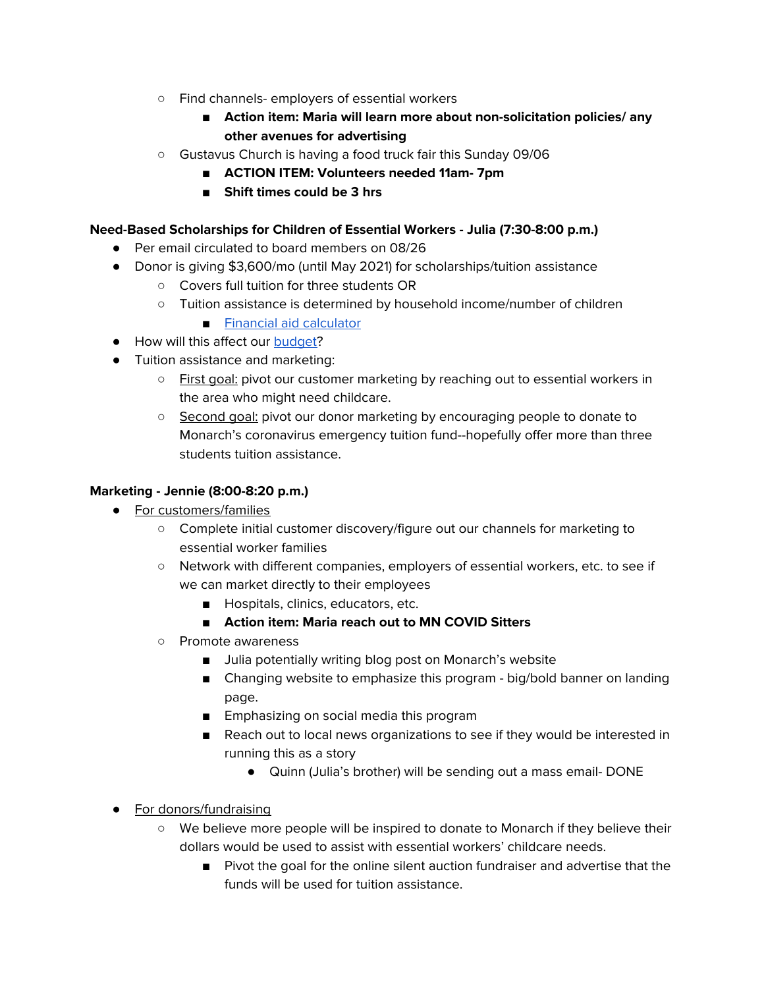- Find channels- employers of essential workers
	- **■ Action item: Maria will learn more about non-solicitation policies/ any other avenues for advertising**
- Gustavus Church is having a food truck fair this Sunday 09/06
	- **■ ACTION ITEM: Volunteers needed 11am- 7pm**
	- **■ Shift times could be 3 hrs**

### **Need-Based Scholarships for Children of Essential Workers - Julia (7:30-8:00 p.m.)**

- Per email circulated to board members on 08/26
- Donor is giving \$3,600/mo (until May 2021) for scholarships/tuition assistance
	- Covers full tuition for three students OR
	- Tuition assistance is determined by household income/number of children
		- Financial aid [calculator](https://docs.google.com/spreadsheets/d/170wwpf3AI_E9WPPqe2kR5f5DF4XqwPpdRaHVV32ee3k/edit#gid=0)
- How will this affect our [budget](https://docs.google.com/spreadsheets/d/1BWKBW2Et2SzeKdbPRtdr6YjsVuYaILN0HtWrcyRt3Zg/edit#gid=1667589895)?
- Tuition assistance and marketing:
	- First goal: pivot our customer marketing by reaching out to essential workers in the area who might need childcare.
	- Second goal: pivot our donor marketing by encouraging people to donate to Monarch's coronavirus emergency tuition fund--hopefully offer more than three students tuition assistance.

### **Marketing - Jennie (8:00-8:20 p.m.)**

- For customers/families
	- Complete initial customer discovery/figure out our channels for marketing to essential worker families
	- Network with different companies, employers of essential workers, etc. to see if we can market directly to their employees
		- Hospitals, clinics, educators, etc.
		- **■ Action item: Maria reach out to MN COVID Sitters**
	- Promote awareness
		- Julia potentially writing blog post on Monarch's website
		- Changing website to emphasize this program big/bold banner on landing page.
		- Emphasizing on social media this program
		- Reach out to local news organizations to see if they would be interested in running this as a story
			- Quinn (Julia's brother) will be sending out a mass email- DONE
- For donors/fundraising
	- We believe more people will be inspired to donate to Monarch if they believe their dollars would be used to assist with essential workers' childcare needs.
		- Pivot the goal for the online silent auction fundraiser and advertise that the funds will be used for tuition assistance.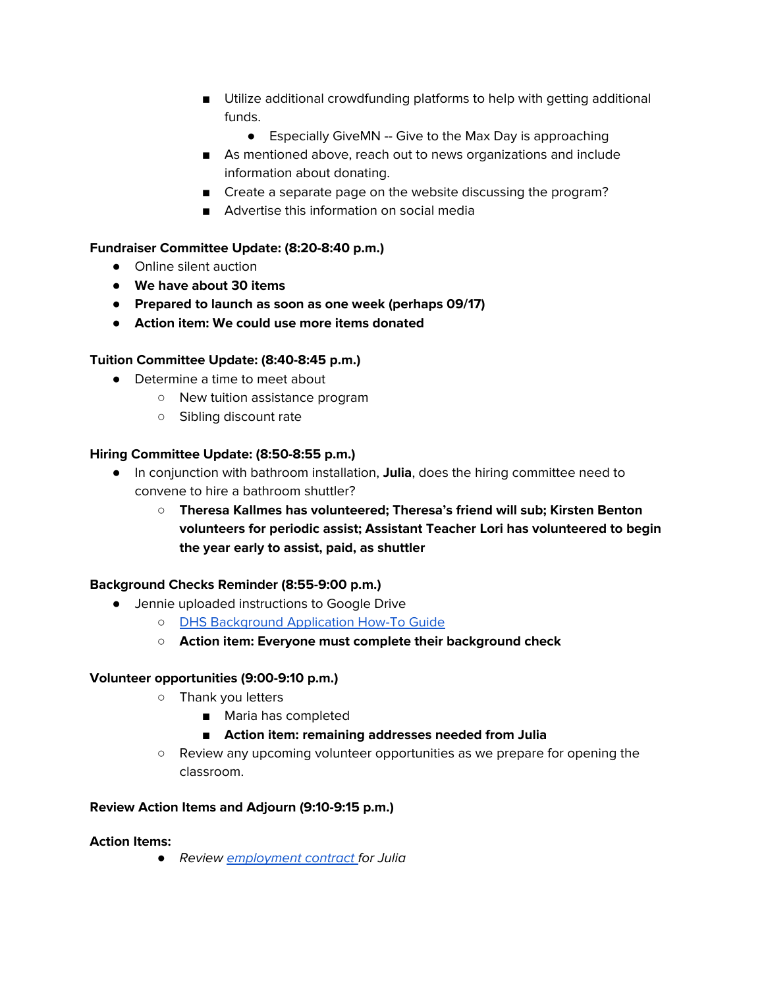- Utilize additional crowdfunding platforms to help with getting additional funds.
	- Especially GiveMN -- Give to the Max Day is approaching
- As mentioned above, reach out to news organizations and include information about donating.
- Create a separate page on the website discussing the program?
- Advertise this information on social media

# **Fundraiser Committee Update: (8:20-8:40 p.m.)**

- Online silent auction
- **● We have about 30 items**
- **● Prepared to launch as soon as one week (perhaps 09/17)**
- **● Action item: We could use more items donated**

# **Tuition Committee Update: (8:40-8:45 p.m.)**

- Determine a time to meet about
	- New tuition assistance program
	- Sibling discount rate

# **Hiring Committee Update: (8:50-8:55 p.m.)**

- In conjunction with bathroom installation, **Julia**, does the hiring committee need to convene to hire a bathroom shuttler?
	- **○ Theresa Kallmes has volunteered; Theresa's friend will sub; Kirsten Benton volunteers for periodic assist; Assistant Teacher Lori has volunteered to begin the year early to assist, paid, as shuttler**

# **Background Checks Reminder (8:55-9:00 p.m.)**

- Jennie uploaded instructions to Google Drive
	- DHS [Background](https://docs.google.com/document/d/1KgRHXy9jrSUyIH521b9LufPG9c9it47LDLM_-BF8pQY/edit) Application How-To Guide
	- **○ Action item: Everyone must complete their background check**

# **Volunteer opportunities (9:00-9:10 p.m.)**

- Thank you letters
	- Maria has completed
	- **■ Action item: remaining addresses needed from Julia**
- Review any upcoming volunteer opportunities as we prepare for opening the classroom.

# **Review Action Items and Adjourn (9:10-9:15 p.m.)**

# **Action Items:**

*●* Review [employment](https://docs.google.com/document/d/1xRRmud6jhIVyvLmFNdZGQBetCQaduc3TSgVApp4Mh8Y/edit?usp=sharing) contract for Julia